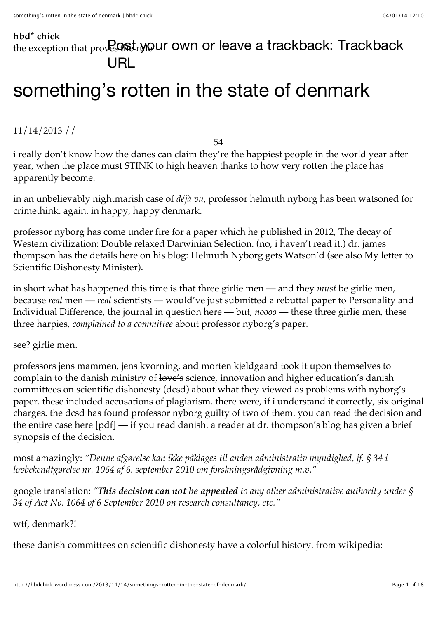## **[hbd\\* chick](http://hbdchick.wordpress.com/)**

# the exception that proves  $Q\$  t<sub>r</sub> Mour own [or leave a trackback: Trackback](http://hbdchick.wordpress.com/2013/11/14/somethings-rotten-in-the-state-of-denmark/trackback/) URL

# [something's rotten in the state of denmark](http://hbdchick.wordpress.com/2013/11/14/somethings-rotten-in-the-state-of-denmark/)

[11/14/2013](http://hbdchick.wordpress.com/2013/11/14/somethings-rotten-in-the-state-of-denmark/) //

[54](http://hbdchick.wordpress.com/2013/11/14/somethings-rotten-in-the-state-of-denmark/#comments)

i really don't know how the danes can claim they're [the happiest people in the world](http://www.france24.com/en/20131110-amid-austerity-debt-denmark-remains-happiest-nation) year after year, when the place must STINK to high heaven thanks to how very rotten the place has apparently become.

in an unbelievably nightmarish case of *déjà vu*, [professor helmuth nyborg](http://www.helmuthnyborg.dk/) has been watsoned for crimethink. again. in happy, happy denmark.

[professor nyborg has come under fire for a paper which he published in 2012, The decay of](http://www.sciencedirect.com/science/article/pii/S0191886911001073) Western civilization: Double relaxed Darwinian Selection. (no, i haven't read it.) dr. james [thompson has the details here on his blog:](http://drjamesthompson.blogspot.com/2013/11/my-letter-to-scientific-dishonesty.html) [Helmuth Nyborg gets Watson'](http://drjamesthompson.blogspot.com/2013/11/helmuth-nyborg-gets-watsond.html)[d \(see also My letter to](http://drjamesthompson.blogspot.com/2013/11/my-letter-to-scientific-dishonesty.html) Scientific Dishonesty Minister).

in short what has happened this time is that three girlie men — and they *must* be girlie men, because *real* men — *real* scientists — would've just submitted a rebuttal paper to Personality and Individual Difference, the journal in question here — but, *noooo* — these three girlie men, these three harpies, *complained to a committee* about professor nyborg's paper.

see? girlie men.

professors [jens mammen,](http://pure.au.dk/portal/en/persons/jens-mammen(416ad3b2-2214-4746-a61b-37c909898725).html) [jens kvorning,](http://personprofil.aau.dk/108611) and [morten kjeldgaard](http://pure.au.dk/portal/en/persons/morten-kjeldgaard(eadacc00-b06e-4113-8ca0-e327dea46864)/persons/morten-kjeldgaard(eadacc00-b06e-4113-8ca0-e327dea46864).html) took it upon themselves to complain to the danish ministry of love's science, innovation and higher education's danish [committees on scientific dishonesty \(dcsd\) about what they viewed as problems with nyborg](http://fivu.dk/en/research-and-innovation/councils-and-commissions/the-danish-committees-on-scientific-dishonesty/the-danish-committees-on-scientific-dishonesty)'s paper. these included accusations of plagiarism. there were, if i understand it correctly, six original charges. the dcsd has found professor nyborg guilty of two of them. you can read the decision and [the entire case](http://drjamesthompson.blogspot.com/2013/11/helmuth-nyborg-gets-watsond.html?showComment=1384433464782#c1187432617066704320) [here](http://emilkirkegaard.dk/da/wp-content/uploads/Nyborg-sag2-UVVU-afg%C3%B8relse.pdf) [\[pdf\] — if you read danish. a reader at dr. thompson's blog has given a brief](http://drjamesthompson.blogspot.com/2013/11/helmuth-nyborg-gets-watsond.html?showComment=1384433464782#c1187432617066704320) synopsis of the decision.

most amazingly: *"Denne afgørelse kan ikke påklages til anden administrativ myndighed, jf. § 34 i lovbekendtgørelse nr. 1064 af 6. september 2010 om forskningsrådgivning m.v."*

google translation: *"This decision can not be appealed to any other administrative authority under § 34 of Act No. 1064 of 6 September 2010 on research consultancy, etc."*

#### wtf, denmark?!

these danish committees on scientific dishonesty have a colorful history. from [wikipedia:](http://en.wikipedia.org/wiki/Danish_Committees_on_Scientific_Dishonesty)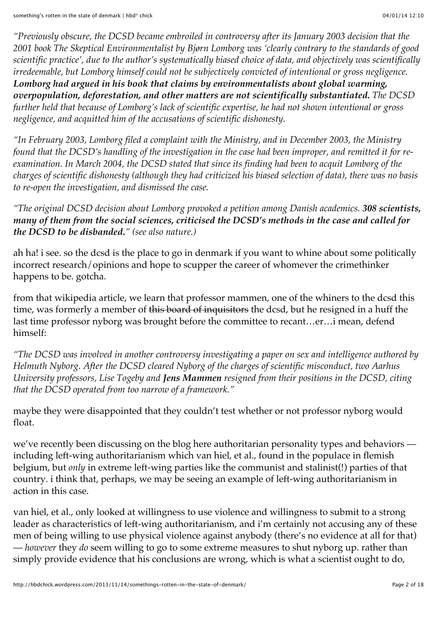*"Previously obscure, the DCSD became embroiled in controversy after its January 2003 decision that the 2001 book The Skeptical Environmentalist by Bjørn Lomborg was 'clearly contrary to the standards of good scientific practice', due to the author's systematically biased choice of data, and objectively was scientifically irredeemable, but Lomborg himself could not be subjectively convicted of intentional or gross negligence. Lomborg had argued in his book that claims by environmentalists about global warming, overpopulation, deforestation, and other matters are not scientifically substantiated. The DCSD further held that because of Lomborg's lack of scientific expertise, he had not shown intentional or gross negligence, and acquitted him of the accusations of scientific dishonesty.*

*"In February 2003, Lomborg filed a complaint with the Ministry, and in December 2003, the Ministry found that the DCSD's handling of the investigation in the case had been improper, and remitted it for reexamination. In March 2004, the DCSD stated that since its finding had been to acquit Lomborg of the charges of scientific dishonesty (although they had criticized his biased selection of data), there was no basis to re-open the investigation, and dismissed the case.*

*"The original DCSD decision about Lomborg provoked a petition among Danish academics. 308 scientists, many of them from the social sciences, criticised the DCSD's methods in the case and called for the DCSD to be disbanded." (see also [nature.](http://www.nature.com/nature/journal/v421/n6924/full/421681b.html))*

ah ha! i see. so the dcsd is the place to go in denmark if you want to whine about some politically incorrect research/opinions and hope to scupper the career of whomever the crimethinker happens to be. gotcha.

from that wikipedia article, we learn that professor mammen, one of the whiners to the dcsd this time, was formerly a member of this board of inquisitors the dcsd, but he resigned in a huff the last time professor nyborg was brought before the committee to recant…er…i mean, defend himself:

*"The DCSD was involved in another controversy investigating a paper on sex and intelligence authored by Helmuth Nyborg. After the DCSD cleared Nyborg of the charges of scientific misconduct, two Aarhus University professors, Lise Togeby and Jens Mammen resigned from their positions in the DCSD, citing that the DCSD operated from too narrow of a framework."*

maybe they were disappointed that they couldn't test whether or not professor nyborg would float.

we've recently been discussing on the blog here [authoritarian personality types and behaviors](http://hbdchick.wordpress.com/2013/11/07/our-political-nature-and-authoritarianism/)  including left-wing authoritarianism which [van hiel, et al.,](http://www.jstor.org/stable/3792538) found in the populace in flemish belgium, but *only* in extreme left-wing parties like the communist and stalinist(!) parties of that country. i think that, perhaps, we may be seeing an example of left-wing authoritarianism in action in this case.

van hiel, et al., only looked at willingness to use violence and willingness to submit to a strong leader as characteristics of left-wing authoritarianism, and i'm certainly not accusing any of these men of being willing to use physical violence against anybody (there's no evidence at all for that) — *however* they *do* seem willing to go to some extreme measures to shut nyborg up. rather than simply provide evidence that his conclusions are wrong, which is what a scientist ought to do,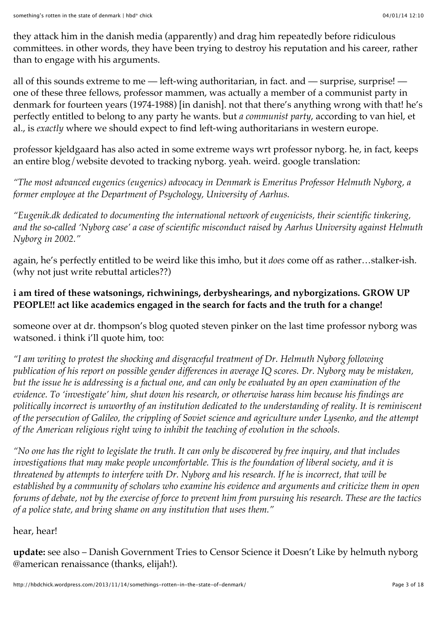they attack him in the danish media (apparently) and drag him repeatedly before ridiculous committees. in other words, they have been trying to destroy his reputation and his career, rather than to engage with his arguments.

all of this sounds extreme to me — left-wing authoritarian, in fact. and — surprise, surprise! one of these three fellows, professor mammen, was actually a member of a communist party in [denmark for fourteen years \(1974-1988\) \[in danish\]. not that there's anything wrong with that! h](http://danskernesparti.dk/archives/1426)e's perfectly entitled to belong to any party he wants. but *a communist party*, according to van hiel, et al., is *exactly* where we should expect to find left-wing authoritarians in western europe.

professor kjeldgaard has also acted in some extreme ways wrt professor nyborg. he, in fact, keeps [an entire blog/website devoted to tracking nyborg.](http://eugenik.dk/) yeah. weird. google translation:

*"The most advanced eugenics (eugenics) advocacy in Denmark is Emeritus Professor Helmuth Nyborg, a former employee at the Department of Psychology, University of Aarhus.*

*"Eugenik.dk dedicated to documenting the international network of eugenicists, their scientific tinkering, and the so-called 'Nyborg case' a case of scientific misconduct raised by Aarhus University against Helmuth Nyborg in 2002."*

again, he's perfectly entitled to be weird like this imho, but it *does* come off as rather…stalker-ish. (why not just write rebuttal articles??)

# **i am tired of these watsonings, richwinings, derbyshearings, and nyborgizations. GROW UP PEOPLE!! act like academics engaged in the search for facts and the truth for a change!**

someone over at dr. thompson's blog [quoted steven pinker](http://drjamesthompson.blogspot.com/2013/11/helmuth-nyborg-gets-watsond.html?showComment=1384422265650#c3494014103510341540) on the last time professor nyborg was watsoned. i think i'll quote him, too:

*"I am writing to protest the shocking and disgraceful treatment of Dr. Helmuth Nyborg following publication of his report on possible gender differences in average IQ scores. Dr. Nyborg may be mistaken, but the issue he is addressing is a factual one, and can only be evaluated by an open examination of the evidence. To 'investigate' him, shut down his research, or otherwise harass him because his findings are politically incorrect is unworthy of an institution dedicated to the understanding of reality. It is reminiscent of the persecution of Galileo, the crippling of Soviet science and agriculture under Lysenko, and the attempt of the American religious right wing to inhibit the teaching of evolution in the schools.*

*"No one has the right to legislate the truth. It can only be discovered by free inquiry, and that includes investigations that may make people uncomfortable. This is the foundation of liberal society, and it is threatened by attempts to interfere with Dr. Nyborg and his research. If he is incorrect, that will be established by a community of scholars who examine his evidence and arguments and criticize them in open forums of debate, not by the exercise of force to prevent him from pursuing his research. These are the tactics of a police state, and bring shame on any institution that uses them."*

# hear, hear!

**update:** see also – [Danish Government Tries to Censor Science it Doesn't Like](http://www.amren.com/news/2013/11/danish-government-tries-to-censor-science-it-doesnt-like/) by helmuth nyborg @american renaissance (thanks, elijah!).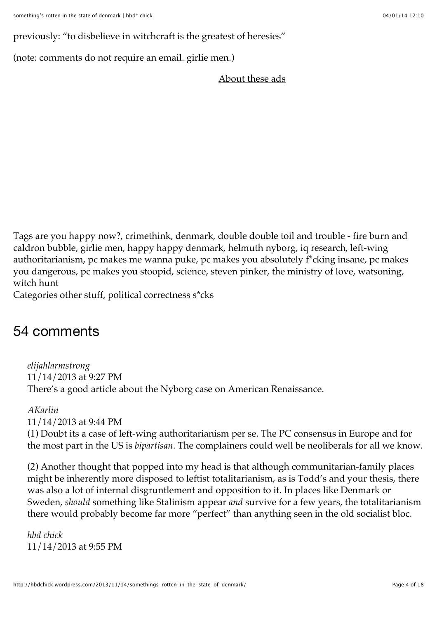previously: ["to disbelieve in witchcraft is the greatest of heresies"](http://hbdchick.wordpress.com/2013/05/12/to-disbelieve-in-witchcraft-is-the-greatest-of-heresies/)

(note: comments do not require an email. [girlie men.](http://i4.photobucket.com/albums/y137/thegreatzarquon/Sub-Album%201/schwarzenegger_hamlet.png))

[About these ads](http://en.wordpress.com/about-these-ads/)

[Tags](http://hbdchick.wordpress.com/tag/double-double-toil-and-trouble-fire-burn-and-caldron-bubble/) [are you happy now?](http://hbdchick.wordpress.com/tag/are-you-happy-now/)[,](http://hbdchick.wordpress.com/tag/double-double-toil-and-trouble-fire-burn-and-caldron-bubble/) [crimethink](http://hbdchick.wordpress.com/tag/crimethink/)[,](http://hbdchick.wordpress.com/tag/double-double-toil-and-trouble-fire-burn-and-caldron-bubble/) [denmark](http://hbdchick.wordpress.com/tag/denmark/)[, double double toil and trouble - fire burn and](http://hbdchick.wordpress.com/tag/double-double-toil-and-trouble-fire-burn-and-caldron-bubble/) caldron bubble, [girlie men,](http://hbdchick.wordpress.com/tag/girlie-men/) [happy happy denmark,](http://hbdchick.wordpress.com/tag/happy-happy-denmark/) [helmuth nyborg,](http://hbdchick.wordpress.com/tag/helmuth-nyborg/) [iq research,](http://hbdchick.wordpress.com/tag/iq-research/) left-wing [authoritarianism, pc makes me wanna puke, pc makes you absolutely f\\*cking insane, pc](http://hbdchick.wordpress.com/tag/left-wing-authoritarianism/) [makes](http://hbdchick.wordpress.com/tag/pc-makes-you-dangerous/) you dangerous, [pc makes you stoopid,](http://hbdchick.wordpress.com/tag/pc-makes-you-stoopid/) [science,](http://hbdchick.wordpress.com/tag/science/) [steven pinker,](http://hbdchick.wordpress.com/tag/steven-pinker/) [the ministry of love,](http://hbdchick.wordpress.com/tag/the-ministry-of-love/) [watsoning,](http://hbdchick.wordpress.com/tag/watsoning/) [witch hunt](http://hbdchick.wordpress.com/tag/witch-hunt/)

Categories [other stuff,](http://hbdchick.wordpress.com/category/other-stuff/) [political correctness s\\*cks](http://hbdchick.wordpress.com/category/political-correctness-scks/)

# 54 comments

*[elijahlarmstrong](http://elijahlarmstrong.wordpress.com/)* [11/14/2013 at 9:27 PM](http://hbdchick.wordpress.com/2013/11/14/somethings-rotten-in-the-state-of-denmark/#comment-35973) There's a good article about the Nyborg case on American Renaissance.

*[AKarlin](http://akarlindotcom.wordpress.com/)* [11/14/2013 at 9:44 PM](http://hbdchick.wordpress.com/2013/11/14/somethings-rotten-in-the-state-of-denmark/#comment-35974) (1) Doubt its a case of left-wing authoritarianism per se. The PC consensus in Europe and for the most part in the US is *bipartisan*. The complainers could well be neoliberals for all we know.

(2) Another thought that popped into my head is that although communitarian-family places might be inherently more disposed to leftist totalitarianism, as is Todd's and your thesis, there was also a lot of internal disgruntlement and opposition to it. In places like Denmark or Sweden, *should* something like Stalinism appear *and* survive for a few years, the totalitarianism there would probably become far more "perfect" than anything seen in the old socialist bloc.

*[hbd chick](http://hbdchick.wordpress.com/)* [11/14/2013 at 9:55 PM](http://hbdchick.wordpress.com/2013/11/14/somethings-rotten-in-the-state-of-denmark/#comment-35975)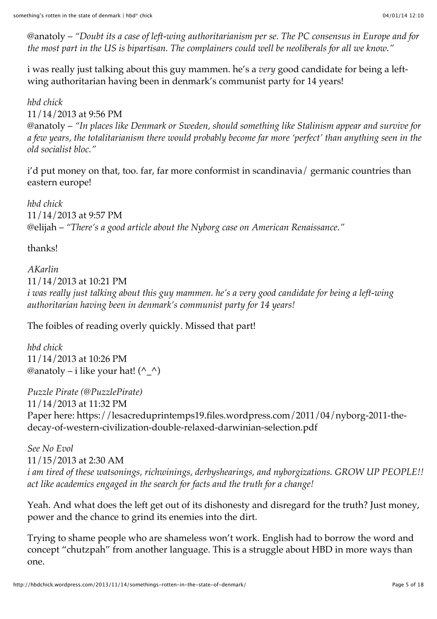@anatoly – *"Doubt its a case of left-wing authoritarianism per se. The PC consensus in Europe and for the most part in the US is bipartisan. The complainers could well be neoliberals for all we know."*

i was really just talking about this guy mammen. he's a *very* good candidate for being a leftwing authoritarian having been in denmark's communist party for 14 years!

*[hbd chick](http://hbdchick.wordpress.com/)* [11/14/2013 at 9:56 PM](http://hbdchick.wordpress.com/2013/11/14/somethings-rotten-in-the-state-of-denmark/#comment-35976) @anatoly – *"In places like Denmark or Sweden, should something like Stalinism appear and survive for a few years, the totalitarianism there would probably become far more 'perfect' than anything seen in the old socialist bloc."*

i'd put money on that, too. far, far more conformist in scandinavia/ germanic countries than eastern europe!

*[hbd chick](http://hbdchick.wordpress.com/)* [11/14/2013 at 9:57 PM](http://hbdchick.wordpress.com/2013/11/14/somethings-rotten-in-the-state-of-denmark/#comment-35977) @elijah – *"There's a good article about the Nyborg case on American Renaissance."*

thanks!

*[AKarlin](http://akarlin.com/)* [11/14/2013 at 10:21 PM](http://hbdchick.wordpress.com/2013/11/14/somethings-rotten-in-the-state-of-denmark/#comment-35979) *i was really just talking about this guy mammen. he's a very good candidate for being a left-wing authoritarian having been in denmark's communist party for 14 years!*

The foibles of reading overly quickly. Missed that part!

*[hbd chick](http://hbdchick.wordpress.com/)* [11/14/2013 at 10:26 PM](http://hbdchick.wordpress.com/2013/11/14/somethings-rotten-in-the-state-of-denmark/#comment-35981) @anatoly – i like your hat!  $(^{\wedge} \Delta)$ 

*Puzzle Pirate (@PuzzlePirate)* [11/14/2013 at 11:32 PM](http://hbdchick.wordpress.com/2013/11/14/somethings-rotten-in-the-state-of-denmark/#comment-35983) [Paper here: https://lesacreduprintemps19.files.wordpress.com/2011/04/nyborg-2011-the](https://lesacreduprintemps19.files.wordpress.com/2011/04/nyborg-2011-the-decay-of-western-civilization-double-relaxed-darwinian-selection.pdf)decay-of-western-civilization-double-relaxed-darwinian-selection.pdf

*See No Evol* [11/15/2013 at 2:30 AM](http://hbdchick.wordpress.com/2013/11/14/somethings-rotten-in-the-state-of-denmark/#comment-35989) *i am tired of these watsonings, richwinings, derbyshearings, and nyborgizations. GROW UP PEOPLE!! act like academics engaged in the search for facts and the truth for a change!*

Yeah. And what does the left get out of its dishonesty and disregard for the truth? Just money, power and the chance to grind its enemies into the dirt.

Trying to shame people who are shameless won't work. English had to borrow the word and concept "chutzpah" from another language. This is a struggle about HBD in more ways than one.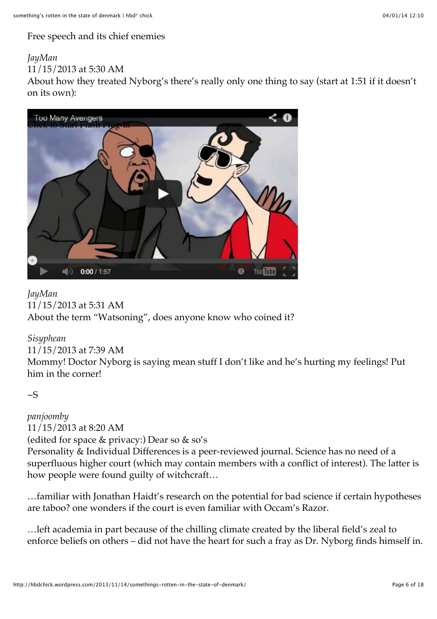[Free speech and its chief enemies](http://www.vdare.com/articles/a-jewish-conservative-wonders-is-free-speech-really-a-jewish-tradition)

#### *[JayMan](http://jaymans.wordpress.com/)*

[11/15/2013 at 5:30 AM](http://hbdchick.wordpress.com/2013/11/14/somethings-rotten-in-the-state-of-denmark/#comment-35991)

About how they treated Nyborg's there's really only one thing to say (start at 1:51 if it doesn't on its own):



*[JayMan](http://jaymans.wordpress.com/)* [11/15/2013 at 5:31 AM](http://hbdchick.wordpress.com/2013/11/14/somethings-rotten-in-the-state-of-denmark/#comment-35992) About the term "Watsoning", does anyone know who coined it?

#### *Sisyphean*

#### [11/15/2013 at 7:39 AM](http://hbdchick.wordpress.com/2013/11/14/somethings-rotten-in-the-state-of-denmark/#comment-35996)

Mommy! Doctor Nyborg is saying mean stuff I don't like and he's hurting my feelings! Put him in the corner!

 $\sim$ S

*panjoomby* [11/15/2013 at 8:20 AM](http://hbdchick.wordpress.com/2013/11/14/somethings-rotten-in-the-state-of-denmark/#comment-35998) (edited for space & privacy:) Dear so & so's Personality & Individual Differences is a peer-reviewed journal. Science has no need of a superfluous higher court (which may contain members with a conflict of interest). The latter is how people were found guilty of witchcraft...

…familiar with Jonathan Haidt's research on the potential for bad science if certain hypotheses are taboo? one wonders if the court is even familiar with Occam's Razor.

…left academia in part because of the chilling climate created by the liberal field's zeal to enforce beliefs on others – did not have the heart for such a fray as Dr. Nyborg finds himself in.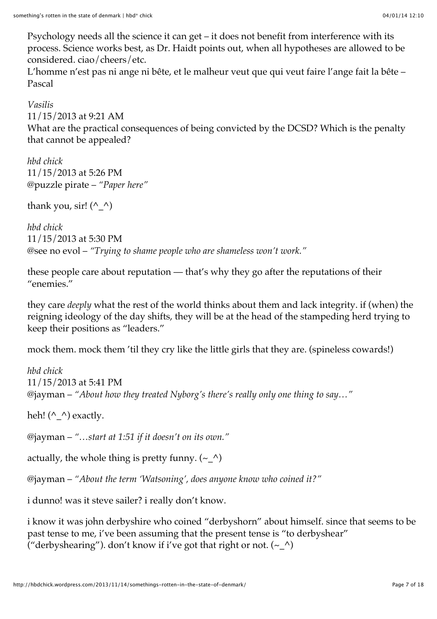Psychology needs all the science it can get – it does not benefit from interference with its process. Science works best, as Dr. Haidt points out, when all hypotheses are allowed to be considered. ciao/cheers/etc.

L'homme n'est pas ni ange ni bête, et le malheur veut que qui veut faire l'ange fait la bête – Pascal

*Vasilis* [11/15/2013 at 9:21 AM](http://hbdchick.wordpress.com/2013/11/14/somethings-rotten-in-the-state-of-denmark/#comment-35999) What are the practical consequences of being convicted by the DCSD? Which is the penalty that cannot be appealed?

*[hbd chick](http://hbdchick.wordpress.com/)* [11/15/2013 at 5:26 PM](http://hbdchick.wordpress.com/2013/11/14/somethings-rotten-in-the-state-of-denmark/#comment-36006) @puzzle pirate – *"Paper here"*

thank you, sir!  $(^{\wedge} \wedge)$ 

*[hbd chick](http://hbdchick.wordpress.com/)* [11/15/2013 at 5:30 PM](http://hbdchick.wordpress.com/2013/11/14/somethings-rotten-in-the-state-of-denmark/#comment-36007) @see no evol – *"Trying to shame people who are shameless won't work."*

these people care about reputation — that's why they go after the reputations of their "enemies."

they care *deeply* what the rest of the world thinks about them and lack integrity. if (when) the reigning ideology of the day shifts, they will be at the head of the stampeding herd trying to keep their positions as "leaders."

mock them. mock them 'til they cry like the little girls that they are. (spineless cowards!)

*[hbd chick](http://hbdchick.wordpress.com/)* [11/15/2013 at 5:41 PM](http://hbdchick.wordpress.com/2013/11/14/somethings-rotten-in-the-state-of-denmark/#comment-36008) @jayman – *"About how they treated Nyborg's there's really only one thing to say…"*

heh!  $(^{\wedge} \_^{\wedge})$  exactly.

@jayman – *"…start at 1:51 if it doesn't on its own."*

actually, the whole thing is pretty funny.  $(\sim\_\wedge)$ 

@jayman – *"About the term 'Watsoning', does anyone know who coined it?"*

i dunno! was it steve sailer? i really don't know.

i know it was john derbyshire who coined "derbyshorn" about himself. since that seems to be past tense to me, i've been assuming that the present tense is "to derbyshear" ("derbyshearing"). don't know if i've got that right or not.  $(\sim\_\wedge)$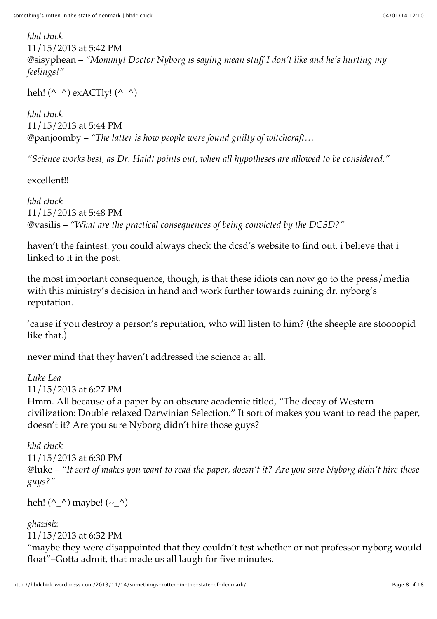*[hbd chick](http://hbdchick.wordpress.com/)* [11/15/2013 at 5:42 PM](http://hbdchick.wordpress.com/2013/11/14/somethings-rotten-in-the-state-of-denmark/#comment-36009) @sisyphean – *"Mommy! Doctor Nyborg is saying mean stuff I don't like and he's hurting my feelings!"*

heh! (^\_^) exACTly! (^\_^)

*[hbd chick](http://hbdchick.wordpress.com/)* [11/15/2013 at 5:44 PM](http://hbdchick.wordpress.com/2013/11/14/somethings-rotten-in-the-state-of-denmark/#comment-36010) @panjoomby – *"The latter is how people were found guilty of witchcraft…*

*"Science works best, as Dr. Haidt points out, when all hypotheses are allowed to be considered."*

excellent!!

*[hbd chick](http://hbdchick.wordpress.com/)* [11/15/2013 at 5:48 PM](http://hbdchick.wordpress.com/2013/11/14/somethings-rotten-in-the-state-of-denmark/#comment-36011) @vasilis – *"What are the practical consequences of being convicted by the DCSD?"*

haven't the faintest. you could always check the dcsd's website to find out. i believe that i linked to it in the post.

the most important consequence, though, is that these idiots can now go to the press/media with this ministry's decision in hand and work further towards ruining dr. nyborg's reputation.

'cause if you destroy a person's reputation, who will listen to him? (the sheeple are stoooopid like that.)

never mind that they haven't addressed the science at all.

*[Luke Lea](https://www.facebook.com/luke.lea.77)* [11/15/2013 at 6:27 PM](http://hbdchick.wordpress.com/2013/11/14/somethings-rotten-in-the-state-of-denmark/#comment-36019) Hmm. All because of a paper by an obscure academic titled, "The decay of Western civilization: Double relaxed Darwinian Selection." It sort of makes you want to read the paper, doesn't it? Are you sure Nyborg didn't hire those guys?

*[hbd chick](http://hbdchick.wordpress.com/)* [11/15/2013 at 6:30 PM](http://hbdchick.wordpress.com/2013/11/14/somethings-rotten-in-the-state-of-denmark/#comment-36023) @luke – *"It sort of makes you want to read the paper, doesn't it? Are you sure Nyborg didn't hire those guys?"*

heh! (^\_^) maybe! (~\_^)

# *[ghazisiz](http://cosmopolitesansracine.wordpress.com/)*

[11/15/2013 at 6:32 PM](http://hbdchick.wordpress.com/2013/11/14/somethings-rotten-in-the-state-of-denmark/#comment-36024)

"maybe they were disappointed that they couldn't test whether or not professor nyborg would float"–Gotta admit, that made us all laugh for five minutes.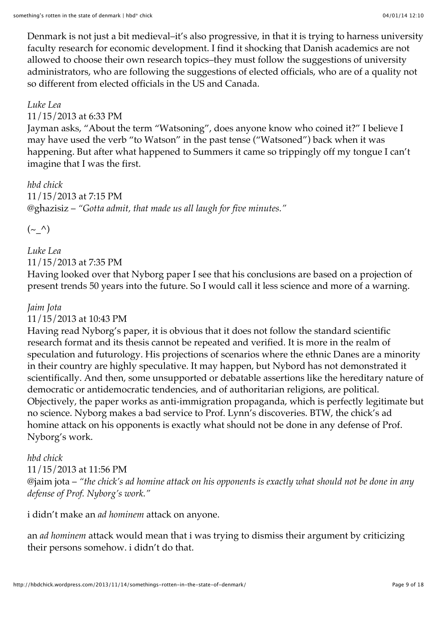Denmark is not just a bit medieval–it's also progressive, in that it is trying to harness university faculty research for economic development. I find it shocking that Danish academics are not allowed to choose their own research topics–they must follow the suggestions of university administrators, who are following the suggestions of elected officials, who are of a quality not so different from elected officials in the US and Canada.

#### *[Luke Lea](https://www.facebook.com/luke.lea.77)*

#### [11/15/2013 at 6:33 PM](http://hbdchick.wordpress.com/2013/11/14/somethings-rotten-in-the-state-of-denmark/#comment-36025)

Jayman asks, "About the term "Watsoning", does anyone know who coined it?" I believe I may have used the verb "to Watson" in the past tense ("Watsoned") back when it was happening. But after what happened to Summers it came so trippingly off my tongue I can't imagine that I was the first.

*[hbd chick](http://hbdchick.wordpress.com/)* [11/15/2013 at 7:15 PM](http://hbdchick.wordpress.com/2013/11/14/somethings-rotten-in-the-state-of-denmark/#comment-36030) @ghazisiz – *"Gotta admit, that made us all laugh for five minutes."*

 $(\sim \wedge)$ 

*[Luke Lea](https://www.facebook.com/luke.lea.77)* [11/15/2013 at 7:35 PM](http://hbdchick.wordpress.com/2013/11/14/somethings-rotten-in-the-state-of-denmark/#comment-36031)

Having looked over that Nyborg paper I see that his conclusions are based on a projection of present trends 50 years into the future. So I would call it less science and more of a warning.

#### *[Jaim Jota](https://www.facebook.com/jaim.jota)*

[11/15/2013 at 10:43 PM](http://hbdchick.wordpress.com/2013/11/14/somethings-rotten-in-the-state-of-denmark/#comment-36042)

Having read Nyborg's paper, it is obvious that it does not follow the standard scientific research format and its thesis cannot be repeated and verified. It is more in the realm of speculation and futurology. His projections of scenarios where the ethnic Danes are a minority in their country are highly speculative. It may happen, but Nybord has not demonstrated it scientifically. And then, some unsupported or debatable assertions like the hereditary nature of democratic or antidemocratic tendencies, and of authoritarian religions, are political. Objectively, the paper works as anti-immigration propaganda, which is perfectly legitimate but no science. Nyborg makes a bad service to Prof. Lynn's discoveries. BTW, the chick's ad homine attack on his opponents is exactly what should not be done in any defense of Prof. Nyborg's work.

#### *[hbd chick](http://hbdchick.wordpress.com/)*

#### [11/15/2013 at 11:56 PM](http://hbdchick.wordpress.com/2013/11/14/somethings-rotten-in-the-state-of-denmark/#comment-36046)

@jaim jota – *"the chick's ad homine attack on his opponents is exactly what should not be done in any defense of Prof. Nyborg's work."*

i didn't make an *ad hominem* attack on anyone.

an *ad hominem* attack would mean that i was trying to dismiss their argument by criticizing their persons somehow. i didn't do that.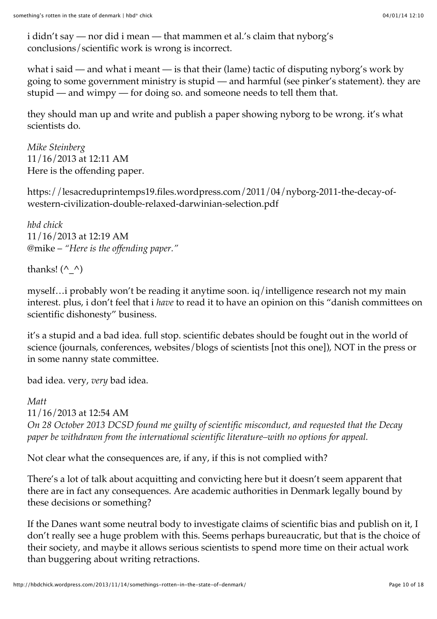i didn't say — nor did i mean — that mammen et al.'s claim that nyborg's conclusions/scientific work is wrong is incorrect.

what i said — and what i meant — is that their (lame) tactic of disputing nyborg's work by going to some government ministry is stupid — and harmful (see pinker's statement). they are stupid — and wimpy — for doing so. and someone needs to tell them that.

they should man up and write and publish a paper showing nyborg to be wrong. it's what scientists do.

*Mike Steinberg* [11/16/2013 at 12:11 AM](http://hbdchick.wordpress.com/2013/11/14/somethings-rotten-in-the-state-of-denmark/#comment-36047) Here is the offending paper.

[https://lesacreduprintemps19.files.wordpress.com/2011/04/nyborg-2011-the-decay-of](https://lesacreduprintemps19.files.wordpress.com/2011/04/nyborg-2011-the-decay-of-western-civilization-double-relaxed-darwinian-selection.pdf)western-civilization-double-relaxed-darwinian-selection.pdf

*[hbd chick](http://hbdchick.wordpress.com/)* [11/16/2013 at 12:19 AM](http://hbdchick.wordpress.com/2013/11/14/somethings-rotten-in-the-state-of-denmark/#comment-36049) @mike – *"Here is the offending paper."*

thanks!  $(^{\wedge} \wedge)$ 

myself…i probably won't be reading it anytime soon. iq/intelligence research not my main interest. plus, i don't feel that i *have* to read it to have an opinion on this "danish committees on scientific dishonesty" business.

it's a stupid and a bad idea. full stop. scientific debates should be fought out in the world of science (journals, conferences, websites/blogs of scientists [not this one]), NOT in the press or in some nanny state committee.

bad idea. very, *very* bad idea.

#### *Matt*

[11/16/2013 at 12:54 AM](http://hbdchick.wordpress.com/2013/11/14/somethings-rotten-in-the-state-of-denmark/#comment-36050) *On 28 October 2013 DCSD found me guilty of scientific misconduct, and requested that the Decay paper be withdrawn from the international scientific literature–with no options for appeal.*

Not clear what the consequences are, if any, if this is not complied with?

There's a lot of talk about acquitting and convicting here but it doesn't seem apparent that there are in fact any consequences. Are academic authorities in Denmark legally bound by these decisions or something?

If the Danes want some neutral body to investigate claims of scientific bias and publish on it, I don't really see a huge problem with this. Seems perhaps bureaucratic, but that is the choice of their society, and maybe it allows serious scientists to spend more time on their actual work than buggering about writing retractions.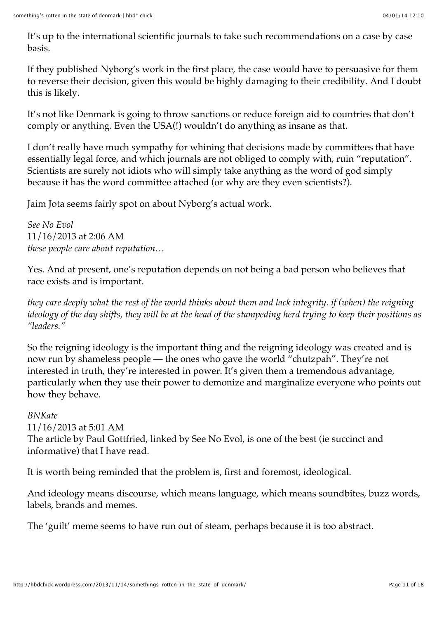It's up to the international scientific journals to take such recommendations on a case by case basis.

If they published Nyborg's work in the first place, the case would have to persuasive for them to reverse their decision, given this would be highly damaging to their credibility. And I doubt this is likely.

It's not like Denmark is going to throw sanctions or reduce foreign aid to countries that don't comply or anything. Even the USA(!) wouldn't do anything as insane as that.

I don't really have much sympathy for whining that decisions made by committees that have essentially legal force, and which journals are not obliged to comply with, ruin "reputation". Scientists are surely not idiots who will simply take anything as the word of god simply because it has the word committee attached (or why are they even scientists?).

Jaim Jota seems fairly spot on about Nyborg's actual work.

*See No Evol* [11/16/2013 at 2:06 AM](http://hbdchick.wordpress.com/2013/11/14/somethings-rotten-in-the-state-of-denmark/#comment-36055) *these people care about reputation…*

Yes. And at present, one's reputation depends on not being a bad person who believes that race exists and is important.

*they care deeply what the rest of the world thinks about them and lack integrity. if (when) the reigning ideology of the day shifts, they will be at the head of the stampeding herd trying to keep their positions as "leaders."*

So the reigning ideology is the important thing and the reigning ideology was created and is now run by shameless people — the ones who gave the world "chutzpah". They're not interested in truth, they're interested in power. It's given them a tremendous advantage, particularly when they use their power to demonize and marginalize everyone who points out how they behave.

*BNKate* [11/16/2013 at 5:01 AM](http://hbdchick.wordpress.com/2013/11/14/somethings-rotten-in-the-state-of-denmark/#comment-36067) The article by Paul Gottfried, linked by See No Evol, is one of the best (ie succinct and informative) that I have read.

It is worth being reminded that the problem is, first and foremost, ideological.

And ideology means discourse, which means language, which means soundbites, buzz words, labels, brands and memes.

The 'guilt' meme seems to have run out of steam, perhaps because it is too abstract.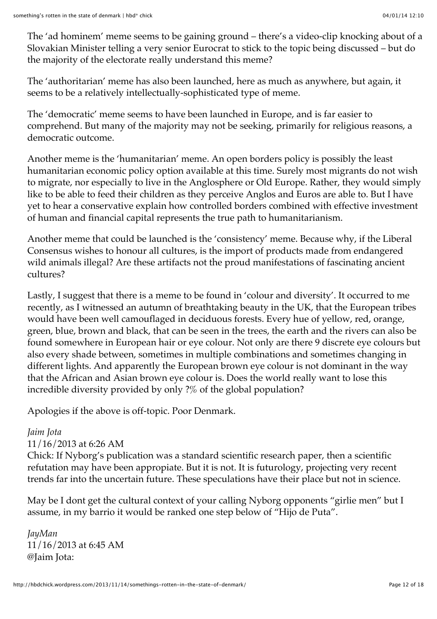The 'ad hominem' meme seems to be gaining ground – there's a video-clip knocking about of a Slovakian Minister telling a very senior Eurocrat to stick to the topic being discussed – but do the majority of the electorate really understand this meme?

The 'authoritarian' meme has also been launched, here as much as anywhere, but again, it seems to be a relatively intellectually-sophisticated type of meme.

The 'democratic' meme seems to have been launched in Europe, and is far easier to comprehend. But many of the majority may not be seeking, primarily for religious reasons, a democratic outcome.

Another meme is the 'humanitarian' meme. An open borders policy is possibly the least humanitarian economic policy option available at this time. Surely most migrants do not wish to migrate, nor especially to live in the Anglosphere or Old Europe. Rather, they would simply like to be able to feed their children as they perceive Anglos and Euros are able to. But I have yet to hear a conservative explain how controlled borders combined with effective investment of human and financial capital represents the true path to humanitarianism.

Another meme that could be launched is the 'consistency' meme. Because why, if the Liberal Consensus wishes to honour all cultures, is the import of products made from endangered wild animals illegal? Are these artifacts not the proud manifestations of fascinating ancient cultures?

Lastly, I suggest that there is a meme to be found in 'colour and diversity'. It occurred to me recently, as I witnessed an autumn of breathtaking beauty in the UK, that the European tribes would have been well camouflaged in deciduous forests. Every hue of yellow, red, orange, green, blue, brown and black, that can be seen in the trees, the earth and the rivers can also be found somewhere in European hair or eye colour. Not only are there 9 discrete eye colours but also every shade between, sometimes in multiple combinations and sometimes changing in different lights. And apparently the European brown eye colour is not dominant in the way that the African and Asian brown eye colour is. Does the world really want to lose this incredible diversity provided by only ?% of the global population?

Apologies if the above is off-topic. Poor Denmark.

## *[Jaim Jota](https://www.facebook.com/jaim.jota)*

## [11/16/2013 at 6:26 AM](http://hbdchick.wordpress.com/2013/11/14/somethings-rotten-in-the-state-of-denmark/#comment-36070)

Chick: If Nyborg's publication was a standard scientific research paper, then a scientific refutation may have been appropiate. But it is not. It is futurology, projecting very recent trends far into the uncertain future. These speculations have their place but not in science.

May be I dont get the cultural context of your calling Nyborg opponents "girlie men" but I assume, in my barrio it would be ranked one step below of "Hijo de Puta".

*[JayMan](http://jaymans.wordpress.com/)* [11/16/2013 at 6:45 AM](http://hbdchick.wordpress.com/2013/11/14/somethings-rotten-in-the-state-of-denmark/#comment-36071) @Jaim Jota: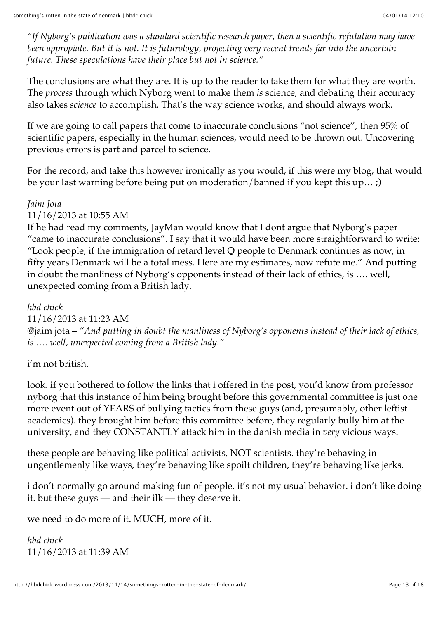*"If Nyborg's publication was a standard scientific research paper, then a scientific refutation may have been appropiate. But it is not. It is futurology, projecting very recent trends far into the uncertain future. These speculations have their place but not in science."*

The conclusions are what they are. It is up to the reader to take them for what they are worth. The *process* through which Nyborg went to make them *is* science, and debating their accuracy also takes *science* to accomplish. That's the way science works, and should always work.

If we are going to call papers that come to inaccurate conclusions "not science", then 95% of scientific papers, especially in the human sciences, would need to be thrown out. Uncovering previous errors is part and parcel to science.

For the record, and take this however ironically as you would, if this were my blog, that would be your last warning before being put on moderation/banned if you kept this up… ;)

#### *[Jaim Jota](https://www.facebook.com/jaim.jota)*

[11/16/2013 at 10:55 AM](http://hbdchick.wordpress.com/2013/11/14/somethings-rotten-in-the-state-of-denmark/#comment-36080)

If he had read my comments, JayMan would know that I dont argue that Nyborg's paper "came to inaccurate conclusions". I say that it would have been more straightforward to write: "Look people, if the immigration of retard level Q people to Denmark continues as now, in fifty years Denmark will be a total mess. Here are my estimates, now refute me." And putting in doubt the manliness of Nyborg's opponents instead of their lack of ethics, is …. well, unexpected coming from a British lady.

*[hbd chick](http://hbdchick.wordpress.com/)*

[11/16/2013 at 11:23 AM](http://hbdchick.wordpress.com/2013/11/14/somethings-rotten-in-the-state-of-denmark/#comment-36082)

@jaim jota – *"And putting in doubt the manliness of Nyborg's opponents instead of their lack of ethics, is …. well, unexpected coming from a British lady."*

i'm not british.

look. if you bothered to follow the links that i offered in the post, you'd know from professor [nyborg that this instance of him being brought before this governmental committee is just one](http://www.amren.com/news/2013/11/danish-government-tries-to-censor-science-it-doesnt-like/) more event out of YEARS of bullying tactics from these guys (and, presumably, other leftist academics). they brought him before this committee before, they regularly bully him at the university, and they CONSTANTLY attack him in the danish media in *very* vicious ways.

these people are behaving like political activists, NOT scientists. they're behaving in ungentlemenly like ways, they're behaving like spoilt children, they're behaving like jerks.

i don't normally go around making fun of people. it's not my usual behavior. i don't like doing it. but these guys — and their ilk — they deserve it.

we need to do more of it. MUCH, more of it.

*[hbd chick](http://hbdchick.wordpress.com/)* [11/16/2013 at 11:39 AM](http://hbdchick.wordpress.com/2013/11/14/somethings-rotten-in-the-state-of-denmark/#comment-36085)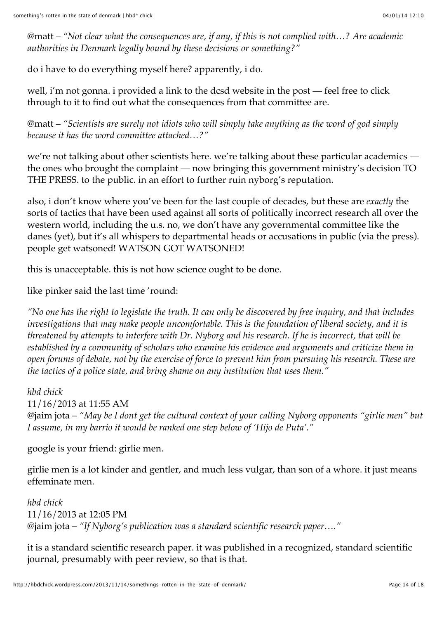@matt – *"Not clear what the consequences are, if any, if this is not complied with…? Are academic authorities in Denmark legally bound by these decisions or something?"*

do i have to do everything myself here? apparently, i do.

well, i'm not gonna. i provided a link to the dcsd website in the post — feel free to click through to it to find out what the consequences from that committee are.

@matt – *"Scientists are surely not idiots who will simply take anything as the word of god simply because it has the word committee attached…?"*

we're not talking about other scientists here. we're talking about these particular academics the ones who brought the complaint — now bringing this government ministry's decision TO THE PRESS. to the public. in an effort to further ruin nyborg's reputation.

also, i don't know where you've been for the last couple of decades, but these are *exactly* the sorts of tactics that have been used against all sorts of politically incorrect research all over the western world, including the u.s. no, we don't have any governmental committee like the danes (yet), but it's all whispers to departmental heads or accusations in public (via the press). people get watsoned! WATSON GOT WATSONED!

this is unacceptable. this is not how science ought to be done.

like pinker said the last time 'round:

*"No one has the right to legislate the truth. It can only be discovered by free inquiry, and that includes investigations that may make people uncomfortable. This is the foundation of liberal society, and it is threatened by attempts to interfere with Dr. Nyborg and his research. If he is incorrect, that will be established by a community of scholars who examine his evidence and arguments and criticize them in open forums of debate, not by the exercise of force to prevent him from pursuing his research. These are the tactics of a police state, and bring shame on any institution that uses them."*

*[hbd chick](http://hbdchick.wordpress.com/)* [11/16/2013 at 11:55 AM](http://hbdchick.wordpress.com/2013/11/14/somethings-rotten-in-the-state-of-denmark/#comment-36087) @jaim jota – *"May be I dont get the cultural context of your calling Nyborg opponents "girlie men" but I assume, in my barrio it would be ranked one step below of 'Hijo de Puta'."*

google is your friend: [girlie men.](http://en.wikipedia.org/wiki/Girlie_men)

girlie men is a lot kinder and gentler, and much less vulgar, than son of a whore. it just means effeminate men.

*[hbd chick](http://hbdchick.wordpress.com/)* [11/16/2013 at 12:05 PM](http://hbdchick.wordpress.com/2013/11/14/somethings-rotten-in-the-state-of-denmark/#comment-36088) @jaim jota – *"If Nyborg's publication was a standard scientific research paper…."*

it is a standard scientific research paper. it was published in a recognized, standard scientific journal, presumably with peer review, so that is that.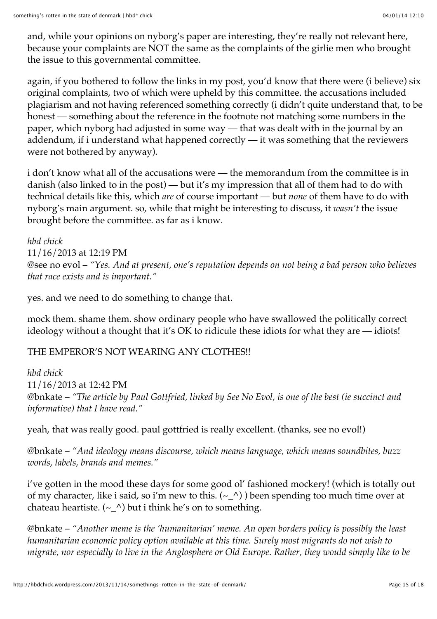and, while your opinions on nyborg's paper are interesting, they're really not relevant here, because your complaints are NOT the same as the complaints of the girlie men who brought the issue to this governmental committee.

again, if you bothered to follow the links in my post, you'd know that there were (i believe) six original complaints, two of which were upheld by this committee. the accusations included plagiarism and not having referenced something correctly (i didn't quite understand that, to be honest — something about the reference in the footnote not matching some numbers in the paper, which nyborg had adjusted in some way — that was dealt with in the journal by an addendum, if i understand what happened correctly — it was something that the reviewers were not bothered by anyway).

i don't know what all of the accusations were — the memorandum from the committee is in danish (also linked to in the post) — but it's my impression that all of them had to do with technical details like this, which *are* of course important — but *none* of them have to do with nyborg's main argument. so, while that might be interesting to discuss, it *wasn't* the issue brought before the committee. as far as i know.

*[hbd chick](http://hbdchick.wordpress.com/)* [11/16/2013 at 12:19 PM](http://hbdchick.wordpress.com/2013/11/14/somethings-rotten-in-the-state-of-denmark/#comment-36089) @see no evol – *"Yes. And at present, one's reputation depends on not being a bad person who believes that race exists and is important."*

yes. and we need to do something to change that.

mock them. shame them. show ordinary people who have swallowed the politically correct ideology without a thought that it's OK to ridicule these idiots for what they are — idiots!

# THE EMPEROR'S NOT WEARING ANY CLOTHES!!

*[hbd chick](http://hbdchick.wordpress.com/)* [11/16/2013 at 12:42 PM](http://hbdchick.wordpress.com/2013/11/14/somethings-rotten-in-the-state-of-denmark/#comment-36091) @bnkate – *"The article by Paul Gottfried, linked by See No Evol, is one of the best (ie succinct and informative) that I have read."*

yeah, that was really good. paul gottfried is really excellent. (thanks, see no evol!)

@bnkate – *"And ideology means discourse, which means language, which means soundbites, buzz words, labels, brands and memes."*

i've gotten in the mood these days for some good ol' fashioned mockery! (which is totally out of my character, like i said, so i'm new to this.  $(-\wedge)$  ) been spending too much time over at [chateau heartiste](http://heartiste.wordpress.com/2013/11/13/goodbye-america-hosurance-edition/).  $({\sim_{\mathcal{L}}})$  but i think he's on to something.

@bnkate – *"Another meme is the 'humanitarian' meme. An open borders policy is possibly the least humanitarian economic policy option available at this time. Surely most migrants do not wish to migrate, nor especially to live in the Anglosphere or Old Europe. Rather, they would simply like to be*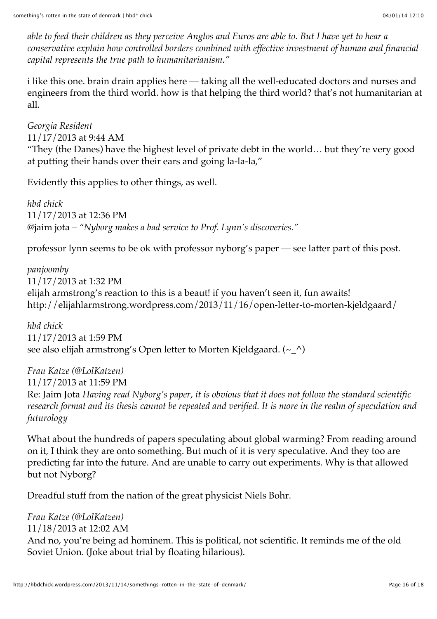*able to feed their children as they perceive Anglos and Euros are able to. But I have yet to hear a conservative explain how controlled borders combined with effective investment of human and financial capital represents the true path to humanitarianism."*

i like this one. brain drain applies here — taking all the well-educated doctors and nurses and engineers from the third world. how is that helping the third world? that's not humanitarian at all.

*Georgia Resident* [11/17/2013 at 9:44 AM](http://hbdchick.wordpress.com/2013/11/14/somethings-rotten-in-the-state-of-denmark/#comment-36109) "They (the Danes) have the highest level of private debt in the world… but they're very good at putting their hands over their ears and going la-la-la,"

Evidently this applies to other things, as well.

*[hbd chick](http://hbdchick.wordpress.com/)* [11/17/2013 at 12:36 PM](http://hbdchick.wordpress.com/2013/11/14/somethings-rotten-in-the-state-of-denmark/#comment-36113) @jaim jota – *"Nyborg makes a bad service to Prof. Lynn's discoveries."*

professor lynn seems to be ok with professor nyborg's paper — see latter part of [this post.](http://drjamesthompson.blogspot.no/2013/11/was-scientific-dishonesty-minister.html)

*panjoomby* [11/17/2013 at 1:32 PM](http://hbdchick.wordpress.com/2013/11/14/somethings-rotten-in-the-state-of-denmark/#comment-36116) elijah armstrong's reaction to this is a beaut! if you haven't seen it, fun awaits! <http://elijahlarmstrong.wordpress.com/2013/11/16/open-letter-to-morten-kjeldgaard/>

*[hbd chick](http://hbdchick.wordpress.com/)* [11/17/2013 at 1:59 PM](http://hbdchick.wordpress.com/2013/11/14/somethings-rotten-in-the-state-of-denmark/#comment-36118) see also elijah armstrong's [Open letter to Morten Kjeldgaard](http://elijahlarmstrong.wordpress.com/2013/11/16/open-letter-to-morten-kjeldgaard/).  $(\sim \wedge)$ 

*[Frau Katze \(@LolKatzen\)](http://twitter.com/LolKatzen)* [11/17/2013 at 11:59 PM](http://hbdchick.wordpress.com/2013/11/14/somethings-rotten-in-the-state-of-denmark/#comment-36176) Re: Jaim Jota *Having read Nyborg's paper, it is obvious that it does not follow the standard scientific research format and its thesis cannot be repeated and verified. It is more in the realm of speculation and futurology*

What about the hundreds of papers speculating about global warming? From reading around on it, I think they are onto something. But much of it is very speculative. And they too are predicting far into the future. And are unable to carry out experiments. Why is that allowed but not Nyborg?

Dreadful stuff from the nation of the great physicist Niels Bohr.

*[Frau Katze \(@LolKatzen\)](http://twitter.com/LolKatzen)* [11/18/2013 at 12:02 AM](http://hbdchick.wordpress.com/2013/11/14/somethings-rotten-in-the-state-of-denmark/#comment-36177) And no, you're being ad hominem. This is political, not scientific. It reminds me of the old Soviet Union. (Joke about trial by floating hilarious).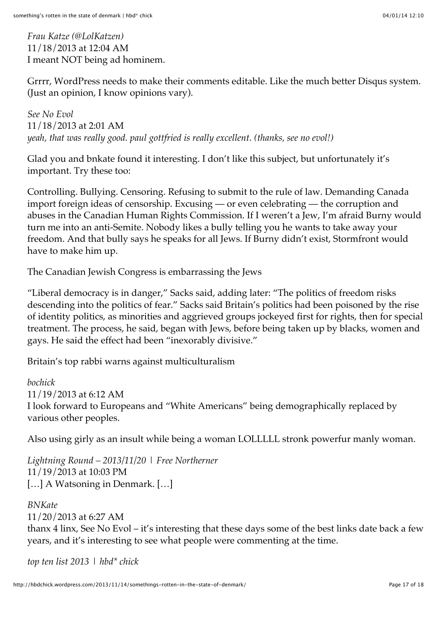*[Frau Katze \(@LolKatzen\)](http://twitter.com/LolKatzen)* [11/18/2013 at 12:04 AM](http://hbdchick.wordpress.com/2013/11/14/somethings-rotten-in-the-state-of-denmark/#comment-36178) I meant NOT being ad hominem.

Grrrr, WordPress needs to make their comments editable. Like the much better Disqus system. (Just an opinion, I know opinions vary).

*See No Evol* [11/18/2013 at 2:01 AM](http://hbdchick.wordpress.com/2013/11/14/somethings-rotten-in-the-state-of-denmark/#comment-36181) *yeah, that was really good. [paul gottfried](http://www.vdare.com/articles/a-jewish-conservative-wonders-is-free-speech-really-a-jewish-tradition) is really excellent. (thanks, see no evol!)*

Glad you and bnkate found it interesting. I don't like this subject, but unfortunately it's important. Try these too:

Controlling. Bullying. Censoring. Refusing to submit to the rule of law. Demanding Canada import foreign ideas of censorship. Excusing — or even celebrating — the corruption and abuses in the Canadian Human Rights Commission. If I weren't a Jew, I'm afraid Burny would turn me into an anti-Semite. Nobody likes a bully telling you he wants to take away your freedom. And that bully says he speaks for all Jews. If Burny didn't exist, Stormfront would have to make him up.

[The Canadian Jewish Congress is embarrassing the Jews](http://ezralevant.com/2009/09/the-canadian-jewish-congress-i.html)

"Liberal democracy is in danger," Sacks said, adding later: "The politics of freedom risks descending into the politics of fear." Sacks said Britain's politics had been poisoned by the rise of identity politics, as minorities and aggrieved groups jockeyed first for rights, then for special treatment. The process, he said, began with Jews, before being taken up by blacks, women and gays. He said the effect had been "inexorably divisive."

[Britain's top rabbi warns against multiculturalism](http://isteve.blogspot.co.uk/2007/10/britains-top-rabbi-warns-against.html)

*bochick* [11/19/2013 at 6:12 AM](http://hbdchick.wordpress.com/2013/11/14/somethings-rotten-in-the-state-of-denmark/#comment-36217) I look forward to Europeans and "White Americans" being demographically replaced by various other peoples.

Also using girly as an insult while being a woman LOLLLLL stronk powerfur manly woman.

*[Lightning Round – 2013/11/20 | Free Northerner](http://freenortherner.wordpress.com/2013/11/20/lightning-round-20131120/)* [11/19/2013 at 10:03 PM](http://hbdchick.wordpress.com/2013/11/14/somethings-rotten-in-the-state-of-denmark/#comment-36235) […] A Watsoning in Denmark. […]

*BNKate* [11/20/2013 at 6:27 AM](http://hbdchick.wordpress.com/2013/11/14/somethings-rotten-in-the-state-of-denmark/#comment-36244) thanx 4 linx, See No Evol – it's interesting that these days some of the best links date back a few years, and it's interesting to see what people were commenting at the time.

*[top ten list 2013 | hbd\\* chick](http://hbdchick.wordpress.com/2013/12/30/top-ten-list-2013/)*